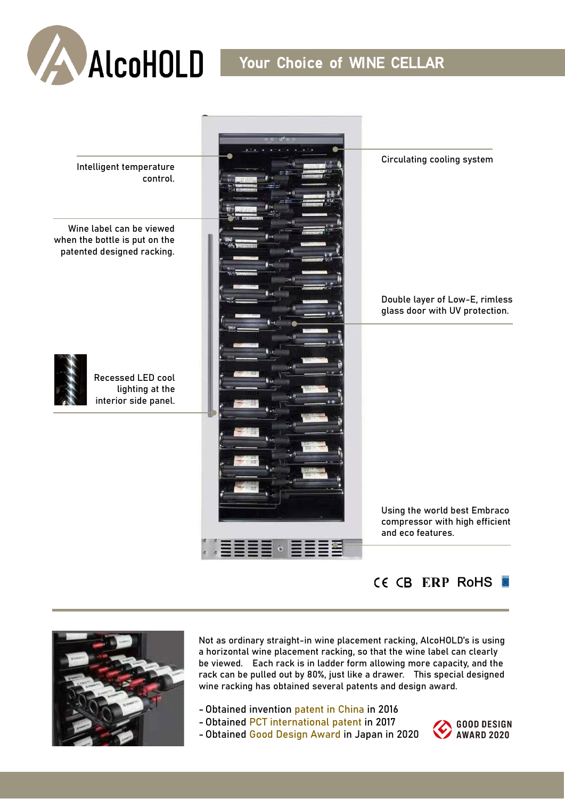





Not as ordinary straight-in wine placement racking, AlcoHOLD's is using a horizontal wine placement racking, so that the wine label can clearly be viewed. Each rack is in ladder form allowing more capacity, and the rack can be pulled out by 80%, just like a drawer. This special designed wine racking has obtained several patents and design award.

- Obtained invention patent in China in 2016
- Obtained PCT international patent in 2017
- Obtained Good Design Award in Japan in 2020